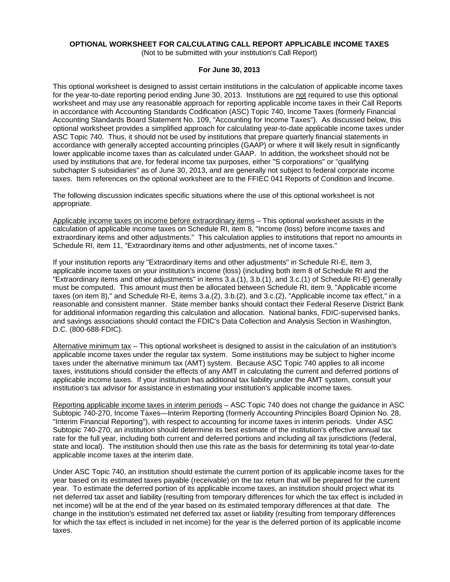# **OPTIONAL WORKSHEET FOR CALCULATING CALL REPORT APPLICABLE INCOME TAXES**

(Not to be submitted with your institution's Call Report)

### **For June 30, 2013**

This optional worksheet is designed to assist certain institutions in the calculation of applicable income taxes for the year-to-date reporting period ending June 30, 2013. Institutions are not required to use this optional worksheet and may use any reasonable approach for reporting applicable income taxes in their Call Reports in accordance with Accounting Standards Codification (ASC) Topic 740, Income Taxes (formerly Financial Accounting Standards Board Statement No. 109, "Accounting for Income Taxes"). As discussed below, this optional worksheet provides a simplified approach for calculating year-to-date applicable income taxes under ASC Topic 740. Thus, it should not be used by institutions that prepare quarterly financial statements in accordance with generally accepted accounting principles (GAAP) or where it will likely result in significantly lower applicable income taxes than as calculated under GAAP. In addition, the worksheet should not be used by institutions that are, for federal income tax purposes, either "S corporations" or "qualifying subchapter S subsidiaries" as of June 30, 2013, and are generally not subject to federal corporate income taxes. Item references on the optional worksheet are to the FFIEC 041 Reports of Condition and Income.

The following discussion indicates specific situations where the use of this optional worksheet is not appropriate.

Applicable income taxes on income before extraordinary items – This optional worksheet assists in the calculation of applicable income taxes on Schedule RI, item 8, "Income (loss) before income taxes and extraordinary items and other adjustments." This calculation applies to institutions that report no amounts in Schedule RI, item 11, "Extraordinary items and other adjustments, net of income taxes."

If your institution reports any "Extraordinary items and other adjustments" in Schedule RI-E, item 3, applicable income taxes on your institution's income (loss) (including both item 8 of Schedule RI and the "Extraordinary items and other adjustments" in items 3.a.(1), 3.b.(1), and 3.c.(1) of Schedule RI-E) generally must be computed. This amount must then be allocated between Schedule RI, item 9, "Applicable income taxes (on item 8)," and Schedule RI-E, items 3.a.(2), 3.b.(2), and 3.c.(2), "Applicable income tax effect," in a reasonable and consistent manner. State member banks should contact their Federal Reserve District Bank for additional information regarding this calculation and allocation. National banks, FDIC-supervised banks, and savings associations should contact the FDIC's Data Collection and Analysis Section in Washington, D.C. (800-688-FDIC).

Alternative minimum tax – This optional worksheet is designed to assist in the calculation of an institution's applicable income taxes under the regular tax system. Some institutions may be subject to higher income taxes under the alternative minimum tax (AMT) system. Because ASC Topic 740 applies to all income taxes, institutions should consider the effects of any AMT in calculating the current and deferred portions of applicable income taxes. If your institution has additional tax liability under the AMT system, consult your institution's tax advisor for assistance in estimating your institution's applicable income taxes.

Reporting applicable income taxes in interim periods – ASC Topic 740 does not change the guidance in ASC Subtopic 740-270, Income Taxes—Interim Reporting (formerly Accounting Principles Board Opinion No. 28, "Interim Financial Reporting"), with respect to accounting for income taxes in interim periods. Under ASC Subtopic 740-270, an institution should determine its best estimate of the institution's effective annual tax rate for the full year, including both current and deferred portions and including all tax jurisdictions (federal, state and local). The institution should then use this rate as the basis for determining its total year-to-date applicable income taxes at the interim date.

Under ASC Topic 740, an institution should estimate the current portion of its applicable income taxes for the year based on its estimated taxes payable (receivable) on the tax return that will be prepared for the current year. To estimate the deferred portion of its applicable income taxes, an institution should project what its net deferred tax asset and liability (resulting from temporary differences for which the tax effect is included in net income) will be at the end of the year based on its estimated temporary differences at that date. The change in the institution's estimated net deferred tax asset or liability (resulting from temporary differences for which the tax effect is included in net income) for the year is the deferred portion of its applicable income taxes.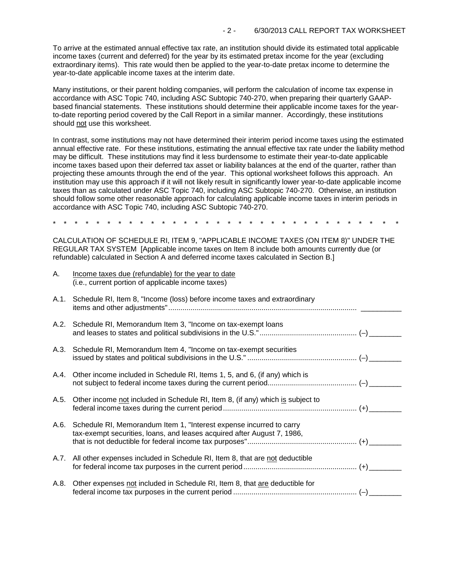To arrive at the estimated annual effective tax rate, an institution should divide its estimated total applicable income taxes (current and deferred) for the year by its estimated pretax income for the year (excluding extraordinary items). This rate would then be applied to the year-to-date pretax income to determine the year-to-date applicable income taxes at the interim date.

Many institutions, or their parent holding companies, will perform the calculation of income tax expense in accordance with ASC Topic 740, including ASC Subtopic 740-270, when preparing their quarterly GAAPbased financial statements. These institutions should determine their applicable income taxes for the yearto-date reporting period covered by the Call Report in a similar manner. Accordingly, these institutions should not use this worksheet.

In contrast, some institutions may not have determined their interim period income taxes using the estimated annual effective rate. For these institutions, estimating the annual effective tax rate under the liability method may be difficult. These institutions may find it less burdensome to estimate their year-to-date applicable income taxes based upon their deferred tax asset or liability balances at the end of the quarter, rather than projecting these amounts through the end of the year. This optional worksheet follows this approach. An institution may use this approach if it will not likely result in significantly lower year-to-date applicable income taxes than as calculated under ASC Topic 740, including ASC Subtopic 740-270. Otherwise, an institution should follow some other reasonable approach for calculating applicable income taxes in interim periods in accordance with ASC Topic 740, including ASC Subtopic 740-270.

\* \* \* \* \* \* \* \* \* \* \* \* \* \* \* \* \* \* \* \* \* \* \* \* \* \* \* \* \* \* \* \*

CALCULATION OF SCHEDULE RI, ITEM 9, "APPLICABLE INCOME TAXES (ON ITEM 8)" UNDER THE REGULAR TAX SYSTEM [Applicable income taxes on Item 8 include both amounts currently due (or refundable) calculated in Section A and deferred income taxes calculated in Section B.]

| Α.   | Income taxes due (refundable) for the year to date<br>(i.e., current portion of applicable income taxes)                                            |  |
|------|-----------------------------------------------------------------------------------------------------------------------------------------------------|--|
| A.1. | Schedule RI, Item 8, "Income (loss) before income taxes and extraordinary                                                                           |  |
|      | A.2. Schedule RI, Memorandum Item 3, "Income on tax-exempt loans                                                                                    |  |
|      | A.3. Schedule RI, Memorandum Item 4, "Income on tax-exempt securities                                                                               |  |
|      | A.4. Other income included in Schedule RI, Items 1, 5, and 6, (if any) which is                                                                     |  |
| A.5. | Other income not included in Schedule RI, Item 8, (if any) which is subject to                                                                      |  |
|      | A.6. Schedule RI, Memorandum Item 1, "Interest expense incurred to carry<br>tax-exempt securities, loans, and leases acquired after August 7, 1986, |  |
|      | A.7. All other expenses included in Schedule RI, Item 8, that are not deductible                                                                    |  |
| A.8. | Other expenses not included in Schedule RI, Item 8, that are deductible for                                                                         |  |
|      |                                                                                                                                                     |  |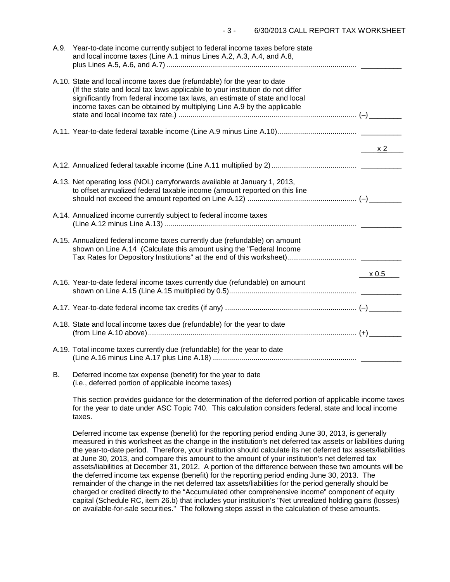|    | A.9. Year-to-date income currently subject to federal income taxes before state<br>and local income taxes (Line A.1 minus Lines A.2, A.3, A.4, and A.8,                                                                                                                                                           |              |
|----|-------------------------------------------------------------------------------------------------------------------------------------------------------------------------------------------------------------------------------------------------------------------------------------------------------------------|--------------|
|    | A.10. State and local income taxes due (refundable) for the year to date<br>(If the state and local tax laws applicable to your institution do not differ<br>significantly from federal income tax laws, an estimate of state and local<br>income taxes can be obtained by multiplying Line A.9 by the applicable |              |
|    |                                                                                                                                                                                                                                                                                                                   |              |
|    |                                                                                                                                                                                                                                                                                                                   | $\times 2$   |
|    |                                                                                                                                                                                                                                                                                                                   |              |
|    | A.13. Net operating loss (NOL) carryforwards available at January 1, 2013,<br>to offset annualized federal taxable income (amount reported on this line                                                                                                                                                           |              |
|    | A.14. Annualized income currently subject to federal income taxes                                                                                                                                                                                                                                                 |              |
|    | A.15. Annualized federal income taxes currently due (refundable) on amount<br>shown on Line A.14 (Calculate this amount using the "Federal Income                                                                                                                                                                 |              |
|    |                                                                                                                                                                                                                                                                                                                   | $\times 0.5$ |
|    | A.16. Year-to-date federal income taxes currently due (refundable) on amount                                                                                                                                                                                                                                      |              |
|    |                                                                                                                                                                                                                                                                                                                   |              |
|    | A.18. State and local income taxes due (refundable) for the year to date                                                                                                                                                                                                                                          |              |
|    | A.19. Total income taxes currently due (refundable) for the year to date                                                                                                                                                                                                                                          |              |
| В. | Deferred income tax expense (benefit) for the year to date                                                                                                                                                                                                                                                        |              |

(i.e., deferred portion of applicable income taxes)

This section provides guidance for the determination of the deferred portion of applicable income taxes for the year to date under ASC Topic 740. This calculation considers federal, state and local income taxes.

Deferred income tax expense (benefit) for the reporting period ending June 30, 2013, is generally measured in this worksheet as the change in the institution's net deferred tax assets or liabilities during the year-to-date period. Therefore, your institution should calculate its net deferred tax assets/liabilities at June 30, 2013, and compare this amount to the amount of your institution's net deferred tax assets/liabilities at December 31, 2012. A portion of the difference between these two amounts will be the deferred income tax expense (benefit) for the reporting period ending June 30, 2013. The remainder of the change in the net deferred tax assets/liabilities for the period generally should be charged or credited directly to the "Accumulated other comprehensive income" component of equity capital (Schedule RC, item 26.b) that includes your institution's "Net unrealized holding gains (losses) on available-for-sale securities." The following steps assist in the calculation of these amounts.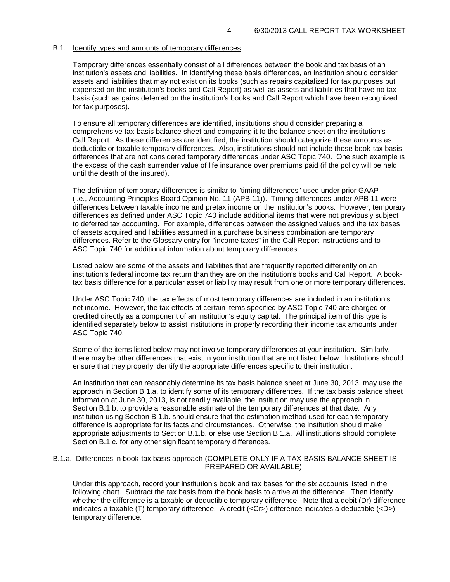### B.1. Identify types and amounts of temporary differences

Temporary differences essentially consist of all differences between the book and tax basis of an institution's assets and liabilities. In identifying these basis differences, an institution should consider assets and liabilities that may not exist on its books (such as repairs capitalized for tax purposes but expensed on the institution's books and Call Report) as well as assets and liabilities that have no tax basis (such as gains deferred on the institution's books and Call Report which have been recognized for tax purposes).

To ensure all temporary differences are identified, institutions should consider preparing a comprehensive tax-basis balance sheet and comparing it to the balance sheet on the institution's Call Report. As these differences are identified, the institution should categorize these amounts as deductible or taxable temporary differences. Also, institutions should not include those book-tax basis differences that are not considered temporary differences under ASC Topic 740. One such example is the excess of the cash surrender value of life insurance over premiums paid (if the policy will be held until the death of the insured).

The definition of temporary differences is similar to "timing differences" used under prior GAAP (i.e., Accounting Principles Board Opinion No. 11 (APB 11)). Timing differences under APB 11 were differences between taxable income and pretax income on the institution's books. However, temporary differences as defined under ASC Topic 740 include additional items that were not previously subject to deferred tax accounting. For example, differences between the assigned values and the tax bases of assets acquired and liabilities assumed in a purchase business combination are temporary differences. Refer to the Glossary entry for "income taxes" in the Call Report instructions and to ASC Topic 740 for additional information about temporary differences.

Listed below are some of the assets and liabilities that are frequently reported differently on an institution's federal income tax return than they are on the institution's books and Call Report. A booktax basis difference for a particular asset or liability may result from one or more temporary differences.

Under ASC Topic 740, the tax effects of most temporary differences are included in an institution's net income. However, the tax effects of certain items specified by ASC Topic 740 are charged or credited directly as a component of an institution's equity capital. The principal item of this type is identified separately below to assist institutions in properly recording their income tax amounts under ASC Topic 740.

Some of the items listed below may not involve temporary differences at your institution. Similarly, there may be other differences that exist in your institution that are not listed below. Institutions should ensure that they properly identify the appropriate differences specific to their institution.

An institution that can reasonably determine its tax basis balance sheet at June 30, 2013, may use the approach in Section B.1.a. to identify some of its temporary differences. If the tax basis balance sheet information at June 30, 2013, is not readily available, the institution may use the approach in Section B.1.b. to provide a reasonable estimate of the temporary differences at that date. Any institution using Section B.1.b. should ensure that the estimation method used for each temporary difference is appropriate for its facts and circumstances. Otherwise, the institution should make appropriate adjustments to Section B.1.b. or else use Section B.1.a. All institutions should complete Section B.1.c. for any other significant temporary differences.

### B.1.a. Differences in book-tax basis approach (COMPLETE ONLY IF A TAX-BASIS BALANCE SHEET IS PREPARED OR AVAILABLE)

Under this approach, record your institution's book and tax bases for the six accounts listed in the following chart. Subtract the tax basis from the book basis to arrive at the difference. Then identify whether the difference is a taxable or deductible temporary difference. Note that a debit (Dr) difference indicates a taxable (T) temporary difference. A credit (<Cr>) difference indicates a deductible (<D>) temporary difference.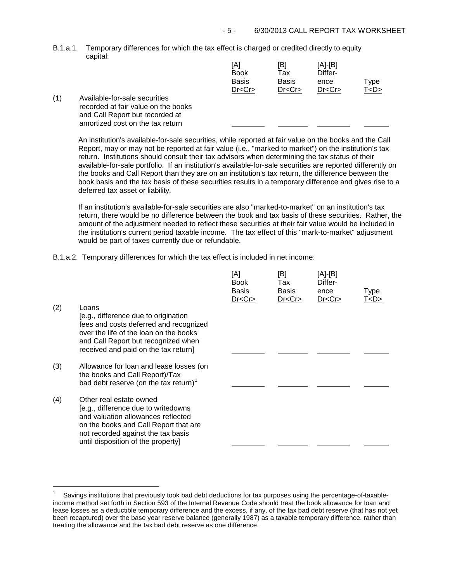B.1.a.1. Temporary differences for which the tax effect is charged or credited directly to equity capital:

|     |                                                                                                         | [A]<br>Book<br><b>Basis</b><br>Dr < Cr | [B]<br>Tax<br><b>Basis</b><br>Dr < Cr | [A]-[B]<br>Differ-<br>ence<br>Dr < Cr | Type<br>T <d></d> |
|-----|---------------------------------------------------------------------------------------------------------|----------------------------------------|---------------------------------------|---------------------------------------|-------------------|
| (1) | Available-for-sale securities<br>recorded at fair value on the books<br>and Call Report but recorded at |                                        |                                       |                                       |                   |

An institution's available-for-sale securities, while reported at fair value on the books and the Call Report, may or may not be reported at fair value (i.e., "marked to market") on the institution's tax return. Institutions should consult their tax advisors when determining the tax status of their available-for-sale portfolio. If an institution's available-for-sale securities are reported differently on the books and Call Report than they are on an institution's tax return, the difference between the book basis and the tax basis of these securities results in a temporary difference and gives rise to a deferred tax asset or liability.

If an institution's available-for-sale securities are also "marked-to-market" on an institution's tax return, there would be no difference between the book and tax basis of these securities. Rather, the amount of the adjustment needed to reflect these securities at their fair value would be included in the institution's current period taxable income. The tax effect of this "mark-to-market" adjustment would be part of taxes currently due or refundable.

B.1.a.2. Temporary differences for which the tax effect is included in net income:

amortized cost on the tax return

÷,

| (2) | Loans<br>[e.g., difference due to origination<br>fees and costs deferred and recognized<br>over the life of the loan on the books<br>and Call Report but recognized when<br>received and paid on the tax return]          | [A]<br><b>Book</b><br><b>Basis</b><br>Dr < Cr | [B]<br>Tax<br><b>Basis</b><br>Dr < Cr | [A]-[B]<br>Differ-<br>ence<br>Dr < Cr | Type<br>T <d></d> |
|-----|---------------------------------------------------------------------------------------------------------------------------------------------------------------------------------------------------------------------------|-----------------------------------------------|---------------------------------------|---------------------------------------|-------------------|
| (3) | Allowance for loan and lease losses (on<br>the books and Call Report)/Tax<br>bad debt reserve (on the tax return) <sup>1</sup>                                                                                            |                                               |                                       |                                       |                   |
| (4) | Other real estate owned<br>[e.g., difference due to writedowns<br>and valuation allowances reflected<br>on the books and Call Report that are<br>not recorded against the tax basis<br>until disposition of the property] |                                               |                                       |                                       |                   |

<span id="page-4-0"></span><sup>1</sup> Savings institutions that previously took bad debt deductions for tax purposes using the percentage-of-taxableincome method set forth in Section 593 of the Internal Revenue Code should treat the book allowance for loan and lease losses as a deductible temporary difference and the excess, if any, of the tax bad debt reserve (that has not yet been recaptured) over the base year reserve balance (generally 1987) as a taxable temporary difference, rather than treating the allowance and the tax bad debt reserve as one difference.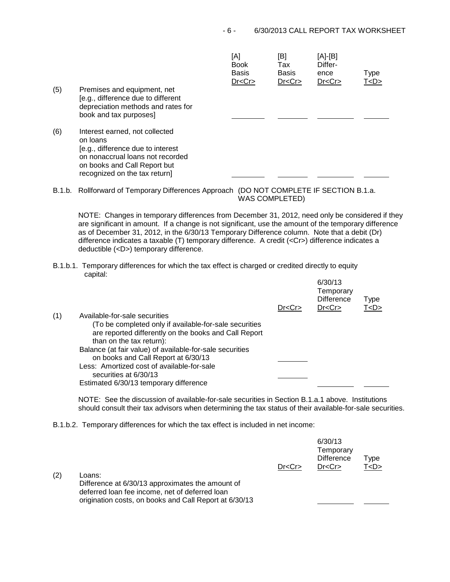| (5) | Premises and equipment, net<br>[e.g., difference due to different<br>depreciation methods and rates for<br>book and tax purposes]                                                    | [A]<br><b>Book</b><br><b>Basis</b><br>Dr < Cr | [B]<br>Tax<br><b>Basis</b><br>Dr < Cr | [A]-[B]<br>Differ-<br>ence<br>Dr < Cr | Type<br>T < D > |
|-----|--------------------------------------------------------------------------------------------------------------------------------------------------------------------------------------|-----------------------------------------------|---------------------------------------|---------------------------------------|-----------------|
| (6) | Interest earned, not collected<br>on loans<br>[e.g., difference due to interest<br>on nonaccrual loans not recorded<br>on books and Call Report but<br>recognized on the tax return] |                                               |                                       |                                       |                 |

B.1.b. Rollforward of Temporary Differences Approach (DO NOT COMPLETE IF SECTION B.1.a. WAS COMPLETED)

NOTE: Changes in temporary differences from December 31, 2012, need only be considered if they are significant in amount. If a change is not significant, use the amount of the temporary difference as of December 31, 2012, in the 6/30/13 Temporary Difference column. Note that a debit (Dr) difference indicates a taxable (T) temporary difference. A credit (<Cr>) difference indicates a deductible (<D>) temporary difference.

B.1.b.1. Temporary differences for which the tax effect is charged or credited directly to equity capital:  $0.30/13$ 

|     |                                                          | Dr < Cr | 0/3U/13<br>Temporary<br><b>Difference</b><br>Dr < Cr | <b>Type</b><br>T <d></d> |  |
|-----|----------------------------------------------------------|---------|------------------------------------------------------|--------------------------|--|
| (1) | Available-for-sale securities                            |         |                                                      |                          |  |
|     | (To be completed only if available-for-sale securities   |         |                                                      |                          |  |
|     | are reported differently on the books and Call Report    |         |                                                      |                          |  |
|     | than on the tax return):                                 |         |                                                      |                          |  |
|     | Balance (at fair value) of available-for-sale securities |         |                                                      |                          |  |
|     | on books and Call Report at 6/30/13                      |         |                                                      |                          |  |
|     | Less: Amortized cost of available-for-sale               |         |                                                      |                          |  |
|     | securities at 6/30/13                                    |         |                                                      |                          |  |
|     | Estimated 6/30/13 temporary difference                   |         |                                                      |                          |  |
|     |                                                          |         |                                                      |                          |  |

NOTE: See the discussion of available-for-sale securities in Section B.1.a.1 above. Institutions should consult their tax advisors when determining the tax status of their available-for-sale securities.

B.1.b.2. Temporary differences for which the tax effect is included in net income:

| (2) | Loans:<br>Difference at 6/30/13 approximates the amount of<br>deferred loan fee income, net of deferred loan | Dr < Cr | 6/30/13<br>Temporary<br><b>Difference</b><br>Dr < Cr | Type<br>T <d></d> |  |
|-----|--------------------------------------------------------------------------------------------------------------|---------|------------------------------------------------------|-------------------|--|
|     | origination costs, on books and Call Report at 6/30/13                                                       |         |                                                      |                   |  |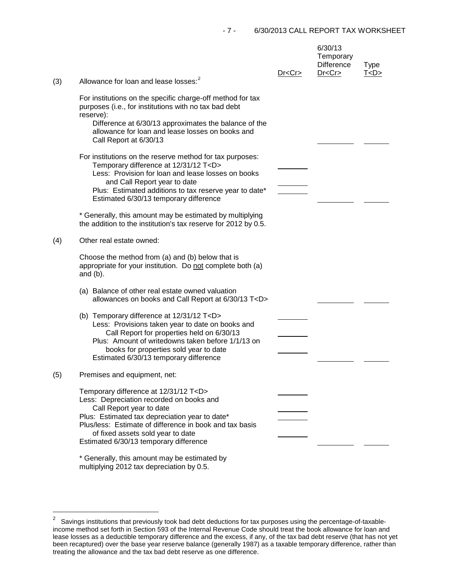| (3) | Allowance for loan and lease losses: <sup>2</sup>                                                                                                                                                                                                                                                                    | Dr < Cr | 6/30/13<br>Temporary<br><b>Difference</b><br>Dr < Cr | <b>Type</b><br>T < D > |
|-----|----------------------------------------------------------------------------------------------------------------------------------------------------------------------------------------------------------------------------------------------------------------------------------------------------------------------|---------|------------------------------------------------------|------------------------|
|     | For institutions on the specific charge-off method for tax<br>purposes (i.e., for institutions with no tax bad debt<br>reserve):<br>Difference at 6/30/13 approximates the balance of the<br>allowance for loan and lease losses on books and<br>Call Report at 6/30/13                                              |         |                                                      |                        |
|     | For institutions on the reserve method for tax purposes:<br>Temporary difference at 12/31/12 T <d><br/>Less: Provision for loan and lease losses on books<br/>and Call Report year to date<br/>Plus: Estimated additions to tax reserve year to date*<br/>Estimated 6/30/13 temporary difference</d>                 |         |                                                      |                        |
|     | * Generally, this amount may be estimated by multiplying<br>the addition to the institution's tax reserve for 2012 by 0.5.                                                                                                                                                                                           |         |                                                      |                        |
| (4) | Other real estate owned:                                                                                                                                                                                                                                                                                             |         |                                                      |                        |
|     | Choose the method from (a) and (b) below that is<br>appropriate for your institution. Do not complete both (a)<br>and $(b)$ .                                                                                                                                                                                        |         |                                                      |                        |
|     | (a) Balance of other real estate owned valuation<br>allowances on books and Call Report at 6/30/13 T <d></d>                                                                                                                                                                                                         |         |                                                      |                        |
|     | (b) Temporary difference at 12/31/12 T <d><br/>Less: Provisions taken year to date on books and<br/>Call Report for properties held on 6/30/13<br/>Plus: Amount of writedowns taken before 1/1/13 on<br/>books for properties sold year to date<br/>Estimated 6/30/13 temporary difference</d>                       |         |                                                      |                        |
| (5) | Premises and equipment, net:                                                                                                                                                                                                                                                                                         |         |                                                      |                        |
|     | Temporary difference at 12/31/12 T <d><br/>Less: Depreciation recorded on books and<br/>Call Report year to date<br/>Plus: Estimated tax depreciation year to date*<br/>Plus/less: Estimate of difference in book and tax basis<br/>of fixed assets sold year to date<br/>Estimated 6/30/13 temporary difference</d> |         |                                                      |                        |
|     | * Generally, this amount may be estimated by                                                                                                                                                                                                                                                                         |         |                                                      |                        |

Generally, this amount may be estimated by multiplying 2012 tax depreciation by 0.5.

<span id="page-6-0"></span> $\overline{c}$ 2 Savings institutions that previously took bad debt deductions for tax purposes using the percentage-of-taxableincome method set forth in Section 593 of the Internal Revenue Code should treat the book allowance for loan and lease losses as a deductible temporary difference and the excess, if any, of the tax bad debt reserve (that has not yet been recaptured) over the base year reserve balance (generally 1987) as a taxable temporary difference, rather than treating the allowance and the tax bad debt reserve as one difference.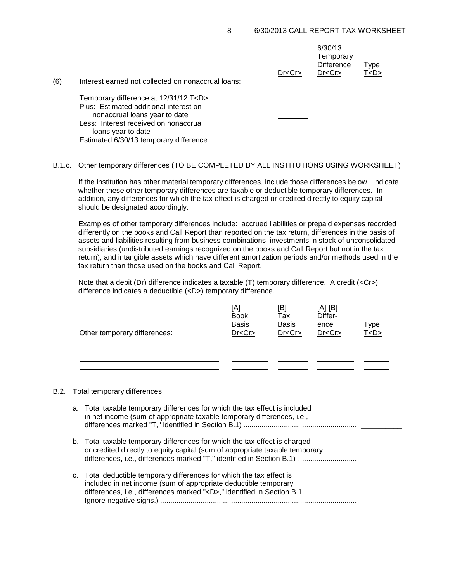| (6) | Interest earned not collected on nonaccrual loans: | Dr < Cr | 6/30/13<br>Temporary<br><b>Difference</b><br>Dr < Cr | Type<br>T <d></d> |
|-----|----------------------------------------------------|---------|------------------------------------------------------|-------------------|
|     | Temporary difference at 12/31/12 T <d></d>         |         |                                                      |                   |
|     | Plus: Estimated additional interest on             |         |                                                      |                   |
|     | nonaccrual loans year to date                      |         |                                                      |                   |
|     | Less: Interest received on nonaccrual              |         |                                                      |                   |
|     | loans year to date                                 |         |                                                      |                   |
|     | Estimated 6/30/13 temporary difference             |         |                                                      |                   |

# B.1.c. Other temporary differences (TO BE COMPLETED BY ALL INSTITUTIONS USING WORKSHEET)

If the institution has other material temporary differences, include those differences below. Indicate whether these other temporary differences are taxable or deductible temporary differences. In addition, any differences for which the tax effect is charged or credited directly to equity capital should be designated accordingly.

Examples of other temporary differences include: accrued liabilities or prepaid expenses recorded differently on the books and Call Report than reported on the tax return, differences in the basis of assets and liabilities resulting from business combinations, investments in stock of unconsolidated subsidiaries (undistributed earnings recognized on the books and Call Report but not in the tax return), and intangible assets which have different amortization periods and/or methods used in the tax return than those used on the books and Call Report.

Note that a debit (Dr) difference indicates a taxable (T) temporary difference. A credit (<Cr>>Cr>) difference indicates a deductible (<D>) temporary difference.

| Other temporary differences: | [A]<br><b>Book</b><br><b>Basis</b><br>Dr < Cr | [B]<br>Tax<br><b>Basis</b><br>Dr < Cr | $[A]-[B]$<br>Differ-<br>ence<br>Dr < Cr | Type<br>T < D > |
|------------------------------|-----------------------------------------------|---------------------------------------|-----------------------------------------|-----------------|
|                              |                                               |                                       |                                         |                 |
|                              |                                               |                                       |                                         |                 |
|                              |                                               |                                       |                                         |                 |

## B.2. Total temporary differences

| a. Total taxable temporary differences for which the tax effect is included<br>in net income (sum of appropriate taxable temporary differences, i.e.,                                                                    |
|--------------------------------------------------------------------------------------------------------------------------------------------------------------------------------------------------------------------------|
| b. Total taxable temporary differences for which the tax effect is charged<br>or credited directly to equity capital (sum of appropriate taxable temporary                                                               |
| c. Total deductible temporary differences for which the tax effect is<br>included in net income (sum of appropriate deductible temporary<br>differences, i.e., differences marked " <d>," identified in Section B.1.</d> |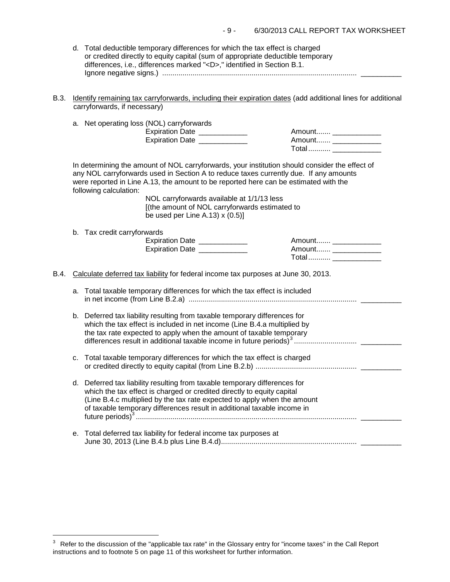| d. Total deductible temporary differences for which the tax effect is charged   |  |
|---------------------------------------------------------------------------------|--|
| or credited directly to equity capital (sum of appropriate deductible temporary |  |
| differences, i.e., differences marked " <d>," identified in Section B.1.</d>    |  |
|                                                                                 |  |

B.3. Identify remaining tax carryforwards, including their expiration dates (add additional lines for additional carryforwards, if necessary)

|      |    | a. Net operating loss (NOL) carryforwards<br>Expiration Date ____________<br>Expiration Date __________                                                                                                                                                                                                                                                                                                                                        | Amount _______________<br>Total  _________________                       |
|------|----|------------------------------------------------------------------------------------------------------------------------------------------------------------------------------------------------------------------------------------------------------------------------------------------------------------------------------------------------------------------------------------------------------------------------------------------------|--------------------------------------------------------------------------|
|      |    | In determining the amount of NOL carryforwards, your institution should consider the effect of<br>any NOL carryforwards used in Section A to reduce taxes currently due. If any amounts<br>were reported in Line A.13, the amount to be reported here can be estimated with the<br>following calculation:<br>NOL carryforwards available at 1/1/13 less<br>[(the amount of NOL carryforwards estimated to<br>be used per Line A.13) $x(0.5)$ ] |                                                                          |
|      |    | b. Tax credit carryforwards<br>Expiration Date ____________<br>Expiration Date _____________                                                                                                                                                                                                                                                                                                                                                   | Amount _____________<br>Amount _______________<br>Total  _______________ |
| B.4. |    | Calculate deferred tax liability for federal income tax purposes at June 30, 2013.                                                                                                                                                                                                                                                                                                                                                             |                                                                          |
|      | a. | Total taxable temporary differences for which the tax effect is included                                                                                                                                                                                                                                                                                                                                                                       |                                                                          |
|      |    | b. Deferred tax liability resulting from taxable temporary differences for<br>which the tax effect is included in net income (Line B.4.a multiplied by<br>the tax rate expected to apply when the amount of taxable temporary                                                                                                                                                                                                                  |                                                                          |
|      | c. | Total taxable temporary differences for which the tax effect is charged                                                                                                                                                                                                                                                                                                                                                                        |                                                                          |
|      |    | d. Deferred tax liability resulting from taxable temporary differences for<br>which the tax effect is charged or credited directly to equity capital<br>(Line B.4.c multiplied by the tax rate expected to apply when the amount<br>of taxable temporary differences result in additional taxable income in                                                                                                                                    |                                                                          |
|      | е. | Total deferred tax liability for federal income tax purposes at                                                                                                                                                                                                                                                                                                                                                                                |                                                                          |
|      |    |                                                                                                                                                                                                                                                                                                                                                                                                                                                |                                                                          |

i<br>I

<span id="page-8-0"></span> $3$  Refer to the discussion of the "applicable tax rate" in the Glossary entry for "income taxes" in the Call Report instructions and to footnote 5 on page 11 of this worksheet for further information.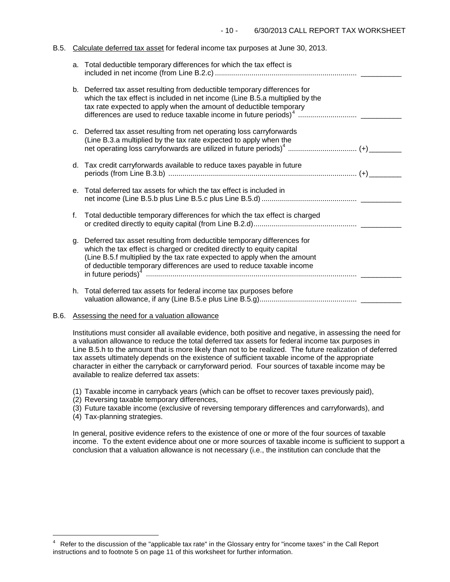### B.5. Calculate deferred tax asset for federal income tax purposes at June 30, 2013.

|         | a. Total deductible temporary differences for which the tax effect is                                                                                                                                                           |
|---------|---------------------------------------------------------------------------------------------------------------------------------------------------------------------------------------------------------------------------------|
|         | b. Deferred tax asset resulting from deductible temporary differences for<br>which the tax effect is included in net income (Line B.5.a multiplied by the<br>tax rate expected to apply when the amount of deductible temporary |
|         | c. Deferred tax asset resulting from net operating loss carryforwards<br>(Line B.3.a multiplied by the tax rate expected to apply when the                                                                                      |
|         | d. Tax credit carryforwards available to reduce taxes payable in future                                                                                                                                                         |
| $e_{1}$ | Total deferred tax assets for which the tax effect is included in                                                                                                                                                               |
| f.      | Total deductible temporary differences for which the tax effect is charged                                                                                                                                                      |
| q.      | Deferred tax asset resulting from deductible temporary differences for<br>which the tax effect is charged or credited directly to equity capital<br>(Line B.5.f multiplied by the tax rate expected to apply when the amount    |
|         | h. Total deferred tax assets for federal income tax purposes before                                                                                                                                                             |

## B.6. Assessing the need for a valuation allowance

Institutions must consider all available evidence, both positive and negative, in assessing the need for a valuation allowance to reduce the total deferred tax assets for federal income tax purposes in Line B.5.h to the amount that is more likely than not to be realized. The future realization of deferred tax assets ultimately depends on the existence of sufficient taxable income of the appropriate character in either the carryback or carryforward period. Four sources of taxable income may be available to realize deferred tax assets:

- (1) Taxable income in carryback years (which can be offset to recover taxes previously paid),
- (2) Reversing taxable temporary differences,
- (3) Future taxable income (exclusive of reversing temporary differences and carryforwards), and
- (4) Tax-planning strategies.

i<br>I

In general, positive evidence refers to the existence of one or more of the four sources of taxable income. To the extent evidence about one or more sources of taxable income is sufficient to support a conclusion that a valuation allowance is not necessary (i.e., the institution can conclude that the

<span id="page-9-0"></span><sup>4</sup> Refer to the discussion of the "applicable tax rate" in the Glossary entry for "income taxes" in the Call Report instructions and to footnote 5 on page 11 of this worksheet for further information.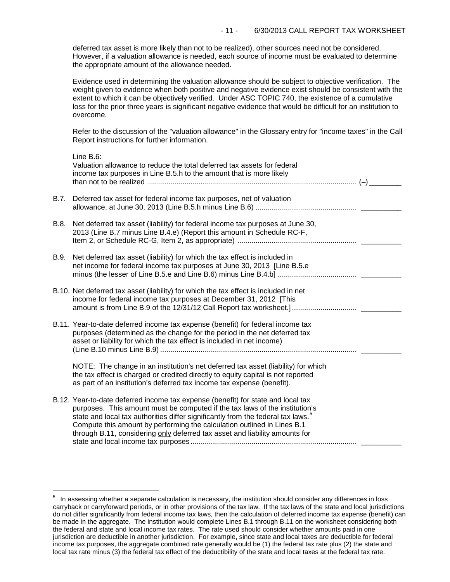deferred tax asset is more likely than not to be realized), other sources need not be considered. However, if a valuation allowance is needed, each source of income must be evaluated to determine the appropriate amount of the allowance needed.

Evidence used in determining the valuation allowance should be subject to objective verification. The weight given to evidence when both positive and negative evidence exist should be consistent with the extent to which it can be objectively verified. Under ASC TOPIC 740, the existence of a cumulative loss for the prior three years is significant negative evidence that would be difficult for an institution to overcome.

Refer to the discussion of the "valuation allowance" in the Glossary entry for "income taxes" in the Call Report instructions for further information.

|      | Line B.6:<br>Valuation allowance to reduce the total deferred tax assets for federal<br>income tax purposes in Line B.5.h to the amount that is more likely                                                                                                                                                                                                                                                               |
|------|---------------------------------------------------------------------------------------------------------------------------------------------------------------------------------------------------------------------------------------------------------------------------------------------------------------------------------------------------------------------------------------------------------------------------|
| B.7. | Deferred tax asset for federal income tax purposes, net of valuation                                                                                                                                                                                                                                                                                                                                                      |
| B.8. | Net deferred tax asset (liability) for federal income tax purposes at June 30,<br>2013 (Line B.7 minus Line B.4.e) (Report this amount in Schedule RC-F,                                                                                                                                                                                                                                                                  |
| B.9. | Net deferred tax asset (liability) for which the tax effect is included in<br>net income for federal income tax purposes at June 30, 2013 [Line B.5.e                                                                                                                                                                                                                                                                     |
|      | B.10. Net deferred tax asset (liability) for which the tax effect is included in net<br>income for federal income tax purposes at December 31, 2012 [This<br>amount is from Line B.9 of the 12/31/12 Call Report tax worksheet.]                                                                                                                                                                                          |
|      | B.11. Year-to-date deferred income tax expense (benefit) for federal income tax<br>purposes (determined as the change for the period in the net deferred tax<br>asset or liability for which the tax effect is included in net income)                                                                                                                                                                                    |
|      | NOTE: The change in an institution's net deferred tax asset (liability) for which<br>the tax effect is charged or credited directly to equity capital is not reported<br>as part of an institution's deferred tax income tax expense (benefit).                                                                                                                                                                           |
|      | B.12. Year-to-date deferred income tax expense (benefit) for state and local tax<br>purposes. This amount must be computed if the tax laws of the institution's<br>state and local tax authorities differ significantly from the federal tax laws. <sup>5</sup><br>Compute this amount by performing the calculation outlined in Lines B.1<br>through B.11, considering only deferred tax asset and liability amounts for |

i<br>L

<span id="page-10-0"></span> $5$  In assessing whether a separate calculation is necessary, the institution should consider any differences in loss carryback or carryforward periods, or in other provisions of the tax law. If the tax laws of the state and local jurisdictions do not differ significantly from federal income tax laws, then the calculation of deferred income tax expense (benefit) can be made in the aggregate. The institution would complete Lines B.1 through B.11 on the worksheet considering both the federal and state and local income tax rates. The rate used should consider whether amounts paid in one jurisdiction are deductible in another jurisdiction. For example, since state and local taxes are deductible for federal income tax purposes, the aggregate combined rate generally would be (1) the federal tax rate plus (2) the state and local tax rate minus (3) the federal tax effect of the deductibility of the state and local taxes at the federal tax rate.